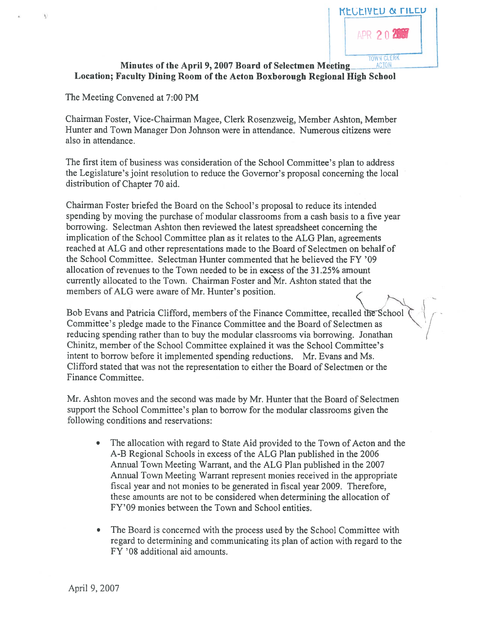

### Minutes of the April 9, 2007 Board of Selectmen Meeting Location; faculty Dining Room of the Acton Boxborough Regional High School

The Meeting Convened at 7:00 PM

Chairman Foster, Vice-Chairman Magee, Clerk Rosenzweig, Member Ashton, Member Hunter and Town Manager Don Johnson were in attendance. Numerous citizens were also in attendance.

The first item of business was consideration of the School Committee's plan to address the Legislature's joint resolution to reduce the Governor's proposa<sup>l</sup> concerning the local distribution of Chapter 70 aid.

Chairman Foster briefed the Board on the School's proposal to reduce its intended spending by moving the purchase of modular classrooms from <sup>a</sup> cash basis to <sup>a</sup> five year borrowing. Selectman Ashton then reviewed the latest spreadsheet concerning the implication of the School Committee <sup>p</sup>lan as it relates to the ALG Plan, agreements reached at ALG and other representations made to the Board of Selectmen on behalf of the School Committee. Selectman Hunter commented that he believed the fY '09 allocation of revenues to the Town needed to be in excess of the 31.25% amount currently allocated to the Town. Chairman Foster and Mr. Ashton stated that the members of ALG were aware of Mr. Hunter's position.

Bob Evans and Patricia Clifford, members of the Finance Committee, recalled the School Committee's pledge made to the Finance Committee and the Board of Selectmen as reducing spending rather than to buy the modular classrooms via borrowing. Jonathan Chinitz, member of the School Committee explained it was the School Committee's intent to borrow before it implemented spending reductions. Mr. Evans and Ms. Clifford stated that was not the representation to either the Board of Selectmen or the finance Committee.

Mr. Asliton moves and the second was made by Mr. Hunter that the Board of Selectmen suppor<sup>t</sup> the School Committee's plan to borrow for the modular classrooms given the following conditions and reservations:

- The allocation with regard to State Aid provided to the Town of Acton and the A-B Regional Schools in excess of the ALG Plan published in the 2006 Annual Town Meeting Warrant, and the ALG Plan published in the 2007 Annual Town Meeting Warrant represen<sup>t</sup> monies received in the appropriate fiscal year and not monies to be generated in fiscal year 2009. Therefore, these amounts are not to be considered when determining the allocation of FY'09 monies between the Town and School entities.
- • The Board is concerned with the process used by the School Committee with regard to determining and communicating its plan of action with regard to the fY '08 additional aid amounts.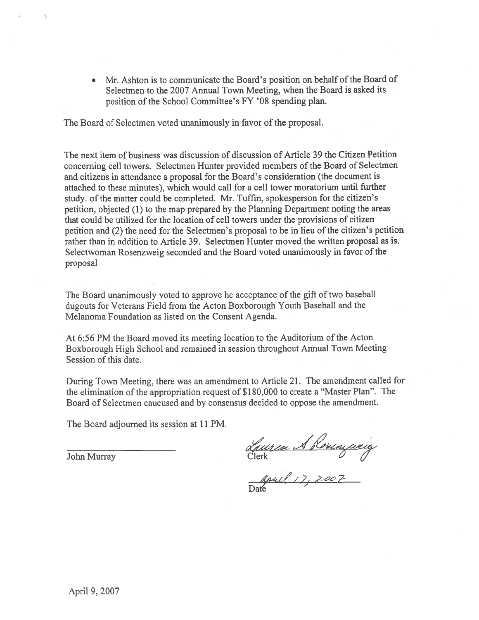• Mr. Ashton is to communicate the Board's position on behalf of the Board of Selectmen to the 2007 Annual Town Meeting, when the Board is asked its position of the School Committee's FY '0\$ spending <sup>p</sup>lan.

The Board of Selectmen voted unanimously in favor of the proposal.

The next item of business was discussion of discussion of Article 39 the Citizen Petition concerning cell towers. Selectmen Hunter provided members of the Board of Selectmen and citizens in attendance <sup>a</sup> proposal for the Board's consideration (the document is attached to these minutes), which would call for <sup>a</sup> cell tower moratorium until further study. of the matter could be completed. Mr. Tuffin, spokesperson for the citizen's petition, objected (1) to the map prepared by the Planning Department noting the areas that could be utilized for the location of cell towers under the provisions of citizen petition and (2) the need for the Selectmen's proposa<sup>l</sup> to be in lieu of the citizen's petition rather than in addition to Article 39. Selectmen Hunter moved the written proposal as is. Selectwoman Rosenzweig seconded and the Board voted unanimously in favor of the proposal

The Board unanimously voted to approve he acceptance of the <sup>g</sup>ifi of two baseball dugouts for Veterans field from the Acton Boxborough Youth Baseball and the Melanoma foundation as listed on the Consent Agenda.

At 6:56 PM the Board moved its meeting location to the Auditorium of the Acton Boxborough High School and remained in session throughout Annual Town Meeting Session of this date.

During Town Meeting, there was an amendment to Article 21. The amendment called for the elimination of the appropriation reques<sup>t</sup> of \$180,000 to create <sup>a</sup> "Master Plan". The Board of Selectmen caucused and by consensus decided to oppose the amendment.

The Board adjourned its session at 11 PM.

John Murray

4.,

Luiren 1 Roxenzueig<br>Clerk<br>Date 17, 2007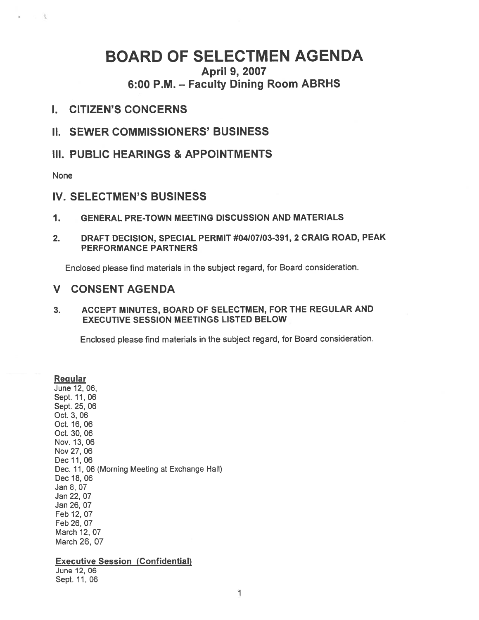# BOARD OF SELECTMEN AGENDA

April 9, 2007 6:00 P.M. — Faculty Dining Room ABRHS

### I. CITIZEN'S CONCERNS

II. SEWER COMMISSIONERS' BUSINESS

III. PUBLIC HEARINGS & APPOINTMENTS

None

 $2 - 2$ 

# IV. SELECTMEN'S BUSINESS

- 1. GENERAL PRE-TOWN MEETING DISCUSSION AND MATERIALS
- 2. DRAFT DECISION, SPECIAL PERMIT #04107103-391, 2 CRAIG ROAD, PEAK PERFORMANCE PARTNERS

Enclosed <sup>p</sup>lease find materials in the subject regard, for Board consideration.

# V CONSENT AGENDA

3. ACCEPT MINUTES, BOARD OF SELECTMEN, FOR THE REGULAR AND EXECUTIVE SESSION MEETINGS LISTED BELOW

Enclosed <sup>p</sup>lease find materials in the subject regard, for Board consideration.

**Regular** June 12, 06, Sept. 11,06 Sept. 25, 06 Oct. 3, 06 Oct. 16, 06 Oct. 30, 06 Nov. 13,06 Nov 27,06 Dec 11,06 Dec. 11, 06 (Morning Meeting at Exchange Hall) Dec 18, 06 Jan 8, 07 Jan 22, 07 Jan 26, 07 Feb 12, 07 Feb 26, 07 March 12, 07 March 26, 07

#### Executive Session (Confidential)

June 12, 06 Sept. 11,06